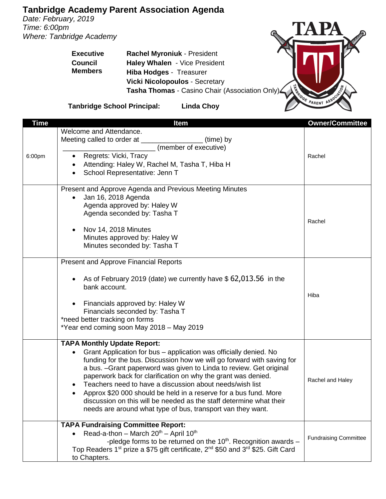## **Tanbridge Academy Parent Association Agenda**

*Date: February, 2019 Time: 6:00pm Where: Tanbridge Academy*

**Executive**

TAPA **CONTRACTOR** 

**Council Members Haley Whalen** - Vice President **Hiba Hodges** - Treasurer **Vicki Nicolopoulos** - Secretary **Tasha Thomas** - Casino Chair (Association Only)

**Rachel Myroniuk** - President

**Tanbridge School Principal: Linda Choy**

| <b>Time</b> | <b>Item</b>                                                                                                         | <b>Owner/Committee</b>       |
|-------------|---------------------------------------------------------------------------------------------------------------------|------------------------------|
|             | Welcome and Attendance.                                                                                             |                              |
|             | Meeting called to order at ___<br>(time) by                                                                         |                              |
|             | (member of executive)                                                                                               |                              |
| 6:00pm      | Regrets: Vicki, Tracy                                                                                               | Rachel                       |
|             | Attending: Haley W, Rachel M, Tasha T, Hiba H                                                                       |                              |
|             | School Representative: Jenn T<br>$\bullet$                                                                          |                              |
|             | Present and Approve Agenda and Previous Meeting Minutes                                                             |                              |
|             | Jan 16, 2018 Agenda                                                                                                 |                              |
|             | Agenda approved by: Haley W                                                                                         |                              |
|             | Agenda seconded by: Tasha T                                                                                         |                              |
|             |                                                                                                                     | Rachel                       |
|             | Nov 14, 2018 Minutes                                                                                                |                              |
|             | Minutes approved by: Haley W                                                                                        |                              |
|             | Minutes seconded by: Tasha T                                                                                        |                              |
|             |                                                                                                                     |                              |
|             | <b>Present and Approve Financial Reports</b>                                                                        |                              |
|             |                                                                                                                     |                              |
|             | As of February 2019 (date) we currently have $$62,013.56$ in the<br>٠                                               |                              |
|             | bank account.                                                                                                       |                              |
|             |                                                                                                                     | Hiba                         |
|             | Financials approved by: Haley W                                                                                     |                              |
|             | Financials seconded by: Tasha T                                                                                     |                              |
|             | *need better tracking on forms                                                                                      |                              |
|             | *Year end coming soon May 2018 - May 2019                                                                           |                              |
|             | <b>TAPA Monthly Update Report:</b>                                                                                  |                              |
|             | Grant Application for bus - application was officially denied. No                                                   |                              |
|             | funding for the bus. Discussion how we will go forward with saving for                                              |                              |
|             | a bus. - Grant paperword was given to Linda to review. Get original                                                 |                              |
|             | paperwork back for clarification on why the grant was denied.                                                       |                              |
|             | Teachers need to have a discussion about needs/wish list                                                            | Rachel and Haley             |
|             | Approx \$20 000 should be held in a reserve for a bus fund. More                                                    |                              |
|             | discussion on this will be needed as the staff determine what their                                                 |                              |
|             | needs are around what type of bus, transport van they want.                                                         |                              |
|             |                                                                                                                     |                              |
|             | <b>TAPA Fundraising Committee Report:</b>                                                                           |                              |
|             | Read-a-thon - March $20^{th}$ - April 10 <sup>th</sup>                                                              | <b>Fundraising Committee</b> |
|             | -pledge forms to be returned on the $10th$ . Recognition awards –                                                   |                              |
|             | Top Readers 1 <sup>st</sup> prize a \$75 gift certificate, 2 <sup>nd</sup> \$50 and 3 <sup>rd</sup> \$25. Gift Card |                              |
|             | to Chapters.                                                                                                        |                              |